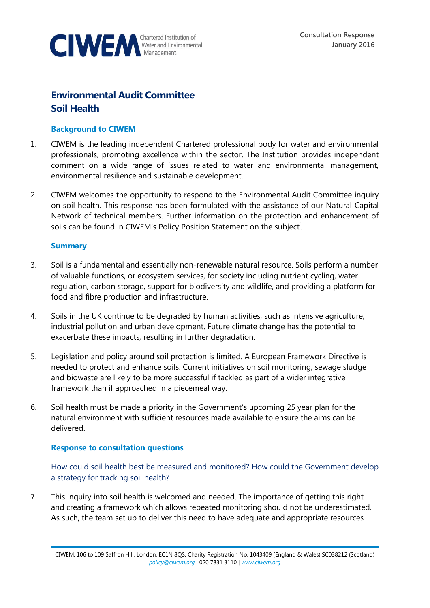

# **Environmental Audit Committee Soil Health**

## **Background to CIWEM**

- 1. CIWEM is the leading independent Chartered professional body for water and environmental professionals, promoting excellence within the sector. The Institution provides independent comment on a wide range of issues related to water and environmental management, environmental resilience and sustainable development.
- 2. CIWEM welcomes the opportunity to respond to the Environmental Audit Committee inquiry on soil health. This response has been formulated with the assistance of our Natural Capital Network of technical members. Further information on the protection and enhancement of soils can be found in CIWEM's Policy Position Statement on the subject<sup>i</sup>.

## **Summary**

- 3. Soil is a fundamental and essentially non-renewable natural resource. Soils perform a number of valuable functions, or ecosystem services, for society including nutrient cycling, water regulation, carbon storage, support for biodiversity and wildlife, and providing a platform for food and fibre production and infrastructure.
- 4. Soils in the UK continue to be degraded by human activities, such as intensive agriculture, industrial pollution and urban development. Future climate change has the potential to exacerbate these impacts, resulting in further degradation.
- 5. Legislation and policy around soil protection is limited. A European Framework Directive is needed to protect and enhance soils. Current initiatives on soil monitoring, sewage sludge and biowaste are likely to be more successful if tackled as part of a wider integrative framework than if approached in a piecemeal way.
- 6. Soil health must be made a priority in the Government's upcoming 25 year plan for the natural environment with sufficient resources made available to ensure the aims can be delivered.

### **Response to consultation questions**

How could soil health best be measured and monitored? How could the Government develop a strategy for tracking soil health?

7. This inquiry into soil health is welcomed and needed. The importance of getting this right and creating a framework which allows repeated monitoring should not be underestimated. As such, the team set up to deliver this need to have adequate and appropriate resources

CIWEM, 106 to 109 Saffron Hill, London, EC1N 8QS. Charity Registration No. 1043409 (England & Wales) SC038212 (Scotland) *[policy@ciwem.org](mailto:policy@ciwem.org)* | 020 7831 3110 | *[www.ciwem.org](http://www.ciwem.org/)*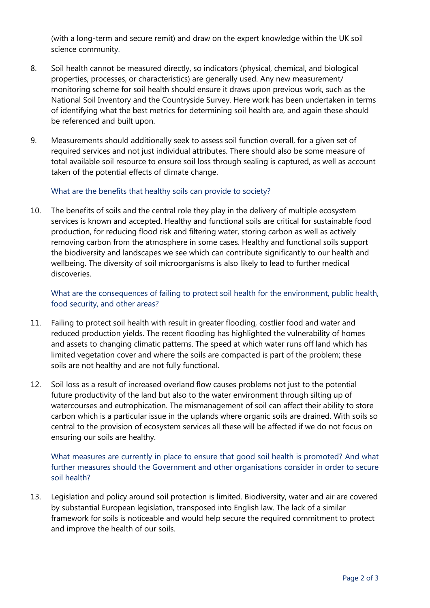(with a long-term and secure remit) and draw on the expert knowledge within the UK soil science community.

- 8. Soil health cannot be measured directly, so indicators (physical, chemical, and biological properties, processes, or characteristics) are generally used. Any new measurement/ monitoring scheme for soil health should ensure it draws upon previous work, such as the National Soil Inventory and the Countryside Survey. Here work has been undertaken in terms of identifying what the best metrics for determining soil health are, and again these should be referenced and built upon.
- 9. Measurements should additionally seek to assess soil function overall, for a given set of required services and not just individual attributes. There should also be some measure of total available soil resource to ensure soil loss through sealing is captured, as well as account taken of the potential effects of climate change.

## What are the benefits that healthy soils can provide to society?

10. The benefits of soils and the central role they play in the delivery of multiple ecosystem services is known and accepted. Healthy and functional soils are critical for sustainable food production, for reducing flood risk and filtering water, storing carbon as well as actively removing carbon from the atmosphere in some cases. Healthy and functional soils support the biodiversity and landscapes we see which can contribute significantly to our health and wellbeing. The diversity of soil microorganisms is also likely to lead to further medical discoveries.

What are the consequences of failing to protect soil health for the environment, public health, food security, and other areas?

- 11. Failing to protect soil health with result in greater flooding, costlier food and water and reduced production yields. The recent flooding has highlighted the vulnerability of homes and assets to changing climatic patterns. The speed at which water runs off land which has limited vegetation cover and where the soils are compacted is part of the problem; these soils are not healthy and are not fully functional.
- 12. Soil loss as a result of increased overland flow causes problems not just to the potential future productivity of the land but also to the water environment through silting up of watercourses and eutrophication. The mismanagement of soil can affect their ability to store carbon which is a particular issue in the uplands where organic soils are drained. With soils so central to the provision of ecosystem services all these will be affected if we do not focus on ensuring our soils are healthy.

What measures are currently in place to ensure that good soil health is promoted? And what further measures should the Government and other organisations consider in order to secure soil health?

13. Legislation and policy around soil protection is limited. Biodiversity, water and air are covered by substantial European legislation, transposed into English law. The lack of a similar framework for soils is noticeable and would help secure the required commitment to protect and improve the health of our soils.